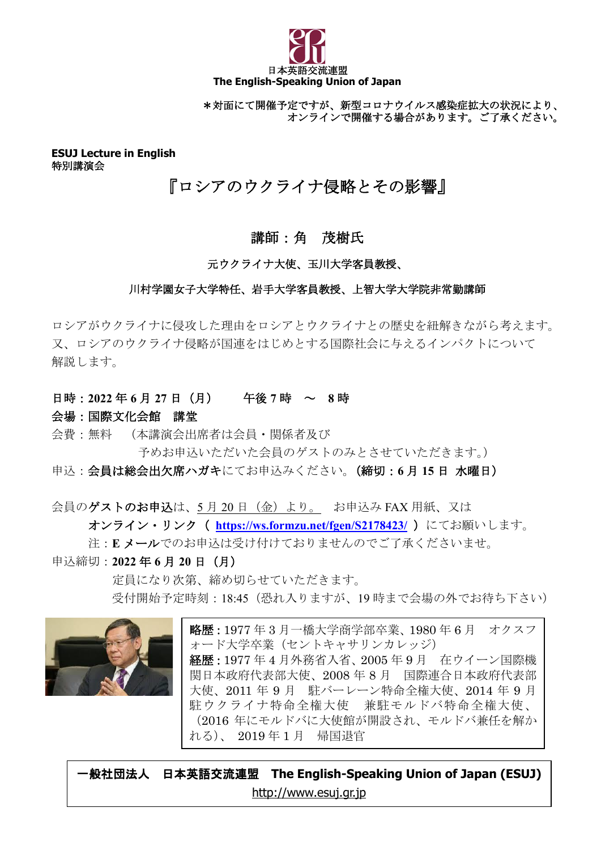

\*対面にて開催予定ですが、新型コロナウイルス感染症拡大の状況により、 オンラインで開催する場合があります。ご了承ください。

**ESUJ Lecture in English** 特別講演会

# 『ロシアのウクライナ侵略とその影響』

## 講師:角 茂樹氏

#### 元ウクライナ大使、玉川大学客員教授、

#### 川村学園女子大学特任、岩手大学客員教授、上智大学大学院非常勤講師

ロシアがウクライナに侵攻した理由をロシアとウクライナとの歴史を紐解きながら考えます。 又、ロシアのウクライナ侵略が国連をはじめとする国際社会に与えるインパクトについて 解説します。

#### 日時:**2022** 年 **6** 月 **27** 日(月) 午後 **7** 時 ~ **8** 時

#### 会場:国際文化会館 講堂

会費:無料 (本講演会出席者は会員・関係者及び

予めお申込いただいた会員のゲストのみとさせていただきます。)

#### 申込:会員は総会出欠席ハガキにてお申込みください。(締切:**6** 月 **15** 日 水曜日)

会員のゲストのお申込は、5月20日 (金)より。お申込み FAX 用紙、又は **オンライン・リンク ( <https://ws.formzu.net/fgen/S2178423/> )にてお願いします。** 注:**E** メールでのお申込は受け付けておりませんのでご了承くださいませ。

申込締切:**2022** 年 **6** 月 **20** 日(月)

 定員になり次第、締め切らせていただきます。 受付開始予定時刻:18:45(恐れ入りますが、19 時まで会場の外でお待ち下さい)



略歴:1977 年 3 月一橋大学商学部卒業、1980 年 6 月 オクスフ ォード大学卒業(セントキャサリンカレッジ) 経歴:1977 年 4 月外務省入省、2005 年 9 月 在ウイーン国際機 関日本政府代表部大使、2008 年 8 月 国際連合日本政府代表部 大使、2011 年 9 月 駐バーレーン特命全権大使、2014 年 9 月 駐ウクライナ特命全権大使 兼駐モルドバ特命全権大使、 (2016 年にモルドバに大使館が開設され、モルドバ兼任を解か れる)、 2019 年 1 月 帰国退官

一般社団法人 日本英語交流連盟 **The English-Speaking Union of Japan (ESUJ)** [http://www.esuj.gr.jp](http://www.esuj.gr.jp/)